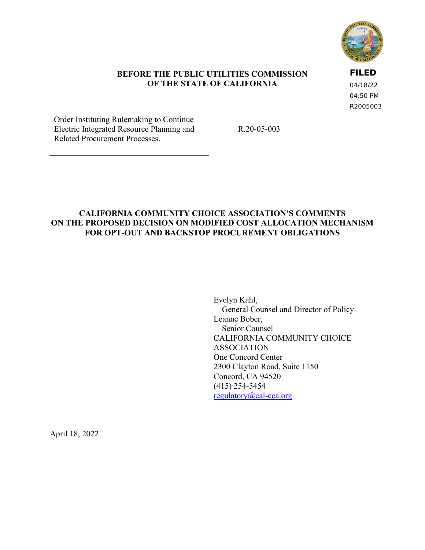

### **BEFORE THE PUBLIC UTILITIES COMMISSION OF THE STATE OF CALIFORNIA**

**FILED**

04/18/22 04:50 PM R2005003

Order Instituting Rulemaking to Continue Electric Integrated Resource Planning and Related Procurement Processes.

R.20-05-003

# **CALIFORNIA COMMUNITY CHOICE ASSOCIATION'S COMMENTS ON THE PROPOSED DECISION ON MODIFIED COST ALLOCATION MECHANISM FOR OPT-OUT AND BACKSTOP PROCUREMENT OBLIGATIONS**

Evelyn Kahl, General Counsel and Director of Policy Leanne Bober, Senior Counsel CALIFORNIA COMMUNITY CHOICE ASSOCIATION One Concord Center 2300 Clayton Road, Suite 1150 Concord, CA 94520 (415) 254-5454 [regulatory@cal-cca.org](mailto:regulatory@cal-cca.org)

April 18, 2022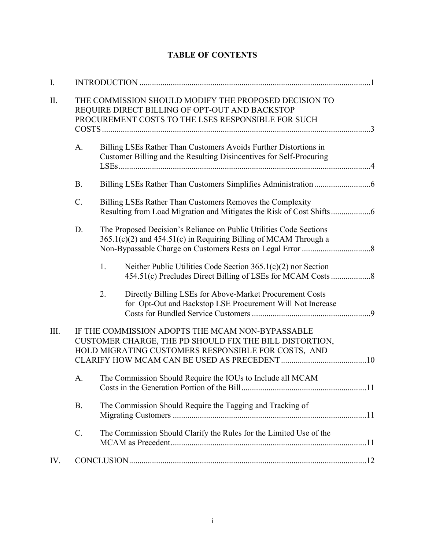| I.   |           |                                                                                                                                                                    |    |
|------|-----------|--------------------------------------------------------------------------------------------------------------------------------------------------------------------|----|
| Π.   |           | THE COMMISSION SHOULD MODIFY THE PROPOSED DECISION TO<br>REQUIRE DIRECT BILLING OF OPT-OUT AND BACKSTOP<br>PROCUREMENT COSTS TO THE LSES RESPONSIBLE FOR SUCH      |    |
|      | A.        | Billing LSEs Rather Than Customers Avoids Further Distortions in<br>Customer Billing and the Resulting Disincentives for Self-Procuring                            |    |
|      | <b>B.</b> |                                                                                                                                                                    |    |
|      | C.        | Billing LSEs Rather Than Customers Removes the Complexity<br>Resulting from Load Migration and Mitigates the Risk of Cost Shifts                                   |    |
|      | D.        | The Proposed Decision's Reliance on Public Utilities Code Sections<br>$365.1(c)(2)$ and $454.51(c)$ in Requiring Billing of MCAM Through a                         |    |
|      |           | 1.<br>Neither Public Utilities Code Section $365.1(c)(2)$ nor Section                                                                                              |    |
|      |           | 2.<br>Directly Billing LSEs for Above-Market Procurement Costs<br>for Opt-Out and Backstop LSE Procurement Will Not Increase                                       |    |
| III. |           | IF THE COMMISSION ADOPTS THE MCAM NON-BYPASSABLE<br>CUSTOMER CHARGE, THE PD SHOULD FIX THE BILL DISTORTION,<br>HOLD MIGRATING CUSTOMERS RESPONSIBLE FOR COSTS, AND |    |
|      | A.        | The Commission Should Require the IOUs to Include all MCAM<br>Costs in the Generation Portion of the Bill                                                          | 11 |
|      | <b>B.</b> | The Commission Should Require the Tagging and Tracking of                                                                                                          |    |
|      | $C$ .     | The Commission Should Clarify the Rules for the Limited Use of the                                                                                                 |    |
| IV.  |           |                                                                                                                                                                    |    |

# **TABLE OF CONTENTS**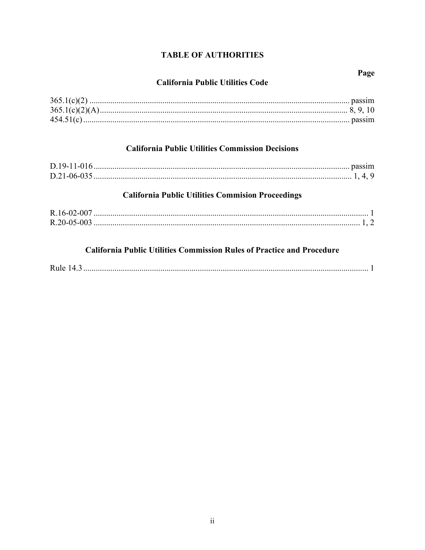# **TABLE OF AUTHORITIES**

# **California Public Utilities Code**

# **California Public Utilities Commission Decisions**

# **California Public Utilities Commision Proceedings**

| R.16-02-007       |  |
|-------------------|--|
| $R.20 - 05 - 003$ |  |

# **California Public Utilities Commission Rules of Practice and Procedure**

| Rule |  |  |
|------|--|--|
|------|--|--|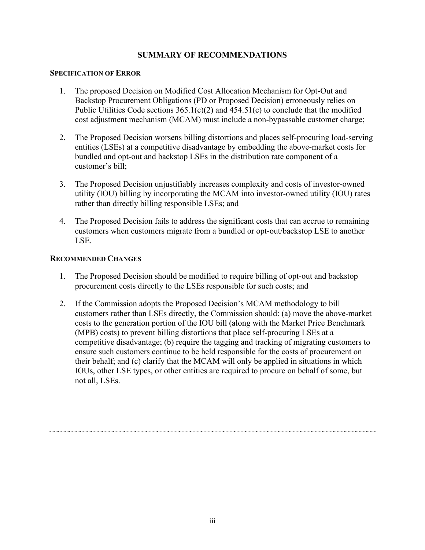# **SUMMARY OF RECOMMENDATIONS**

### **SPECIFICATION OF ERROR**

- 1. The proposed Decision on Modified Cost Allocation Mechanism for Opt-Out and Backstop Procurement Obligations (PD or Proposed Decision) erroneously relies on Public Utilities Code sections  $365.1(c)(2)$  and  $454.51(c)$  to conclude that the modified cost adjustment mechanism (MCAM) must include a non-bypassable customer charge;
- 2. The Proposed Decision worsens billing distortions and places self-procuring load-serving entities (LSEs) at a competitive disadvantage by embedding the above-market costs for bundled and opt-out and backstop LSEs in the distribution rate component of a customer's bill;
- 3. The Proposed Decision unjustifiably increases complexity and costs of investor-owned utility (IOU) billing by incorporating the MCAM into investor-owned utility (IOU) rates rather than directly billing responsible LSEs; and
- 4. The Proposed Decision fails to address the significant costs that can accrue to remaining customers when customers migrate from a bundled or opt-out/backstop LSE to another LSE.

# **RECOMMENDED CHANGES**

- 1. The Proposed Decision should be modified to require billing of opt-out and backstop procurement costs directly to the LSEs responsible for such costs; and
- 2. If the Commission adopts the Proposed Decision's MCAM methodology to bill customers rather than LSEs directly, the Commission should: (a) move the above-market costs to the generation portion of the IOU bill (along with the Market Price Benchmark (MPB) costs) to prevent billing distortions that place self-procuring LSEs at a competitive disadvantage; (b) require the tagging and tracking of migrating customers to ensure such customers continue to be held responsible for the costs of procurement on their behalf; and (c) clarify that the MCAM will only be applied in situations in which IOUs, other LSE types, or other entities are required to procure on behalf of some, but not all, LSEs.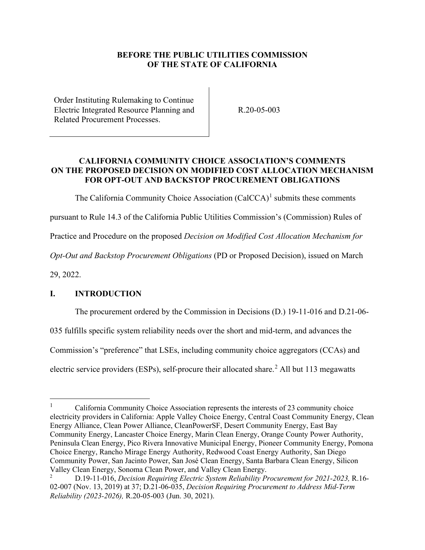### **BEFORE THE PUBLIC UTILITIES COMMISSION OF THE STATE OF CALIFORNIA**

Order Instituting Rulemaking to Continue Electric Integrated Resource Planning and Related Procurement Processes.

R.20-05-003

### **CALIFORNIA COMMUNITY CHOICE ASSOCIATION'S COMMENTS ON THE PROPOSED DECISION ON MODIFIED COST ALLOCATION MECHANISM FOR OPT-OUT AND BACKSTOP PROCUREMENT OBLIGATIONS**

The California Community Choice Association  $(CaICCA)^1$  $(CaICCA)^1$  submits these comments

pursuant to Rule 14.3 of the California Public Utilities Commission's (Commission) Rules of

Practice and Procedure on the proposed *Decision on Modified Cost Allocation Mechanism for* 

*Opt-Out and Backstop Procurement Obligations* (PD or Proposed Decision), issued on March

29, 2022.

# <span id="page-4-0"></span>**I. INTRODUCTION**

The procurement ordered by the Commission in Decisions (D.) 19-11-016 and D.21-06-

035 fulfills specific system reliability needs over the short and mid-term, and advances the

Commission's "preference" that LSEs, including community choice aggregators (CCAs) and

electric service providers (ESPs), self-procure their allocated share.<sup>[2](#page-4-2)</sup> All but 113 megawatts

<span id="page-4-1"></span><sup>1</sup> California Community Choice Association represents the interests of 23 community choice electricity providers in California: Apple Valley Choice Energy, Central Coast Community Energy, Clean Energy Alliance, Clean Power Alliance, CleanPowerSF, Desert Community Energy, East Bay Community Energy, Lancaster Choice Energy, Marin Clean Energy, Orange County Power Authority, Peninsula Clean Energy, Pico Rivera Innovative Municipal Energy, Pioneer Community Energy, Pomona Choice Energy, Rancho Mirage Energy Authority, Redwood Coast Energy Authority, San Diego Community Power, San Jacinto Power, San José Clean Energy, Santa Barbara Clean Energy, Silicon Valley Clean Energy, Sonoma Clean Power, and Valley Clean Energy.

<span id="page-4-2"></span><sup>2</sup> D.19-11-016, *Decision Requiring Electric System Reliability Procurement for 2021-2023,* R.16- 02-007 (Nov. 13, 2019) at 37; D.21-06-035, *Decision Requiring Procurement to Address Mid-Term Reliability (2023-2026),* R.20-05-003 (Jun. 30, 2021).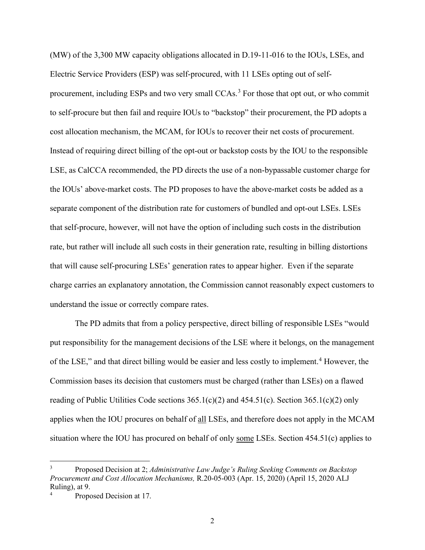(MW) of the 3,300 MW capacity obligations allocated in D.19-11-016 to the IOUs, LSEs, and Electric Service Providers (ESP) was self-procured, with 11 LSEs opting out of self-procurement, including ESPs and two very small CCAs.<sup>[3](#page-5-0)</sup> For those that opt out, or who commit to self-procure but then fail and require IOUs to "backstop" their procurement, the PD adopts a cost allocation mechanism, the MCAM, for IOUs to recover their net costs of procurement. Instead of requiring direct billing of the opt-out or backstop costs by the IOU to the responsible LSE, as CalCCA recommended, the PD directs the use of a non-bypassable customer charge for the IOUs' above-market costs. The PD proposes to have the above-market costs be added as a separate component of the distribution rate for customers of bundled and opt-out LSEs. LSEs that self-procure, however, will not have the option of including such costs in the distribution rate, but rather will include all such costs in their generation rate, resulting in billing distortions that will cause self-procuring LSEs' generation rates to appear higher. Even if the separate charge carries an explanatory annotation, the Commission cannot reasonably expect customers to understand the issue or correctly compare rates.

The PD admits that from a policy perspective, direct billing of responsible LSEs "would put responsibility for the management decisions of the LSE where it belongs, on the management of the LSE," and that direct billing would be easier and less costly to implement.<sup>[4](#page-5-1)</sup> However, the Commission bases its decision that customers must be charged (rather than LSEs) on a flawed reading of Public Utilities Code sections  $365.1(c)(2)$  and  $454.51(c)$ . Section  $365.1(c)(2)$  only applies when the IOU procures on behalf of all LSEs, and therefore does not apply in the MCAM situation where the IOU has procured on behalf of only some LSEs. Section 454.51(c) applies to

<span id="page-5-0"></span><sup>3</sup> Proposed Decision at 2; *Administrative Law Judge's Ruling Seeking Comments on Backstop Procurement and Cost Allocation Mechanisms,* R.20-05-003 (Apr. 15, 2020) (April 15, 2020 ALJ Ruling), at 9.

<span id="page-5-1"></span><sup>4</sup> Proposed Decision at 17.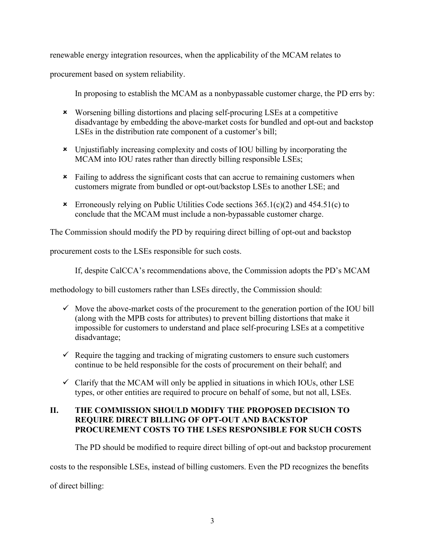renewable energy integration resources, when the applicability of the MCAM relates to

procurement based on system reliability.

In proposing to establish the MCAM as a nonbypassable customer charge, the PD errs by:

- Worsening billing distortions and placing self-procuring LSEs at a competitive disadvantage by embedding the above-market costs for bundled and opt-out and backstop LSEs in the distribution rate component of a customer's bill;
- Unjustifiably increasing complexity and costs of IOU billing by incorporating the MCAM into IOU rates rather than directly billing responsible LSEs;
- Failing to address the significant costs that can accrue to remaining customers when customers migrate from bundled or opt-out/backstop LSEs to another LSE; and
- **\*** Erroneously relying on Public Utilities Code sections  $365.1(c)(2)$  and  $454.51(c)$  to conclude that the MCAM must include a non-bypassable customer charge.

The Commission should modify the PD by requiring direct billing of opt-out and backstop

procurement costs to the LSEs responsible for such costs.

If, despite CalCCA's recommendations above, the Commission adopts the PD's MCAM

methodology to bill customers rather than LSEs directly, the Commission should:

- $\checkmark$  Move the above-market costs of the procurement to the generation portion of the IOU bill (along with the MPB costs for attributes) to prevent billing distortions that make it impossible for customers to understand and place self-procuring LSEs at a competitive disadvantage;
- $\checkmark$  Require the tagging and tracking of migrating customers to ensure such customers continue to be held responsible for the costs of procurement on their behalf; and
- $\checkmark$  Clarify that the MCAM will only be applied in situations in which IOUs, other LSE types, or other entities are required to procure on behalf of some, but not all, LSEs.

# <span id="page-6-0"></span>**II. THE COMMISSION SHOULD MODIFY THE PROPOSED DECISION TO REQUIRE DIRECT BILLING OF OPT-OUT AND BACKSTOP PROCUREMENT COSTS TO THE LSES RESPONSIBLE FOR SUCH COSTS**

The PD should be modified to require direct billing of opt-out and backstop procurement

costs to the responsible LSEs, instead of billing customers. Even the PD recognizes the benefits

of direct billing: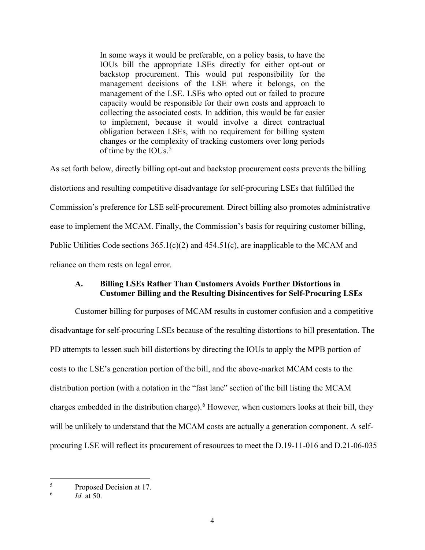In some ways it would be preferable, on a policy basis, to have the IOUs bill the appropriate LSEs directly for either opt-out or backstop procurement. This would put responsibility for the management decisions of the LSE where it belongs, on the management of the LSE. LSEs who opted out or failed to procure capacity would be responsible for their own costs and approach to collecting the associated costs. In addition, this would be far easier to implement, because it would involve a direct contractual obligation between LSEs, with no requirement for billing system changes or the complexity of tracking customers over long periods of time by the IOUs.<sup>[5](#page-7-1)</sup>

As set forth below, directly billing opt-out and backstop procurement costs prevents the billing distortions and resulting competitive disadvantage for self-procuring LSEs that fulfilled the Commission's preference for LSE self-procurement. Direct billing also promotes administrative ease to implement the MCAM. Finally, the Commission's basis for requiring customer billing, Public Utilities Code sections  $365.1(c)(2)$  and  $454.51(c)$ , are inapplicable to the MCAM and reliance on them rests on legal error.

### <span id="page-7-0"></span>**A. Billing LSEs Rather Than Customers Avoids Further Distortions in Customer Billing and the Resulting Disincentives for Self-Procuring LSEs**

Customer billing for purposes of MCAM results in customer confusion and a competitive disadvantage for self-procuring LSEs because of the resulting distortions to bill presentation. The PD attempts to lessen such bill distortions by directing the IOUs to apply the MPB portion of costs to the LSE's generation portion of the bill, and the above-market MCAM costs to the distribution portion (with a notation in the "fast lane" section of the bill listing the MCAM charges embedded in the distribution charge).<sup>[6](#page-7-2)</sup> However, when customers looks at their bill, they will be unlikely to understand that the MCAM costs are actually a generation component. A selfprocuring LSE will reflect its procurement of resources to meet the D.19-11-016 and D.21-06-035

<span id="page-7-1"></span><sup>5</sup> Proposed Decision at 17.

<span id="page-7-2"></span><sup>6</sup> *Id.* at 50.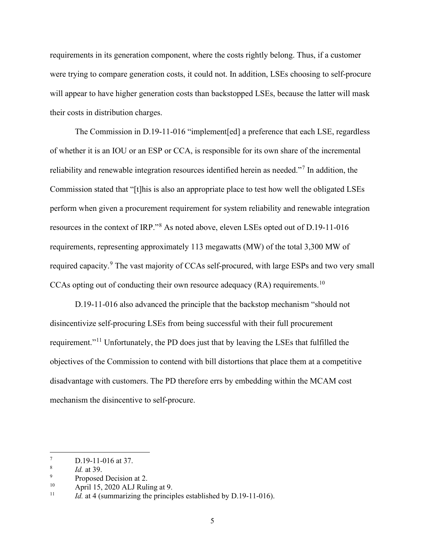requirements in its generation component, where the costs rightly belong. Thus, if a customer were trying to compare generation costs, it could not. In addition, LSEs choosing to self-procure will appear to have higher generation costs than backstopped LSEs, because the latter will mask their costs in distribution charges.

The Commission in D.19-11-016 "implement[ed] a preference that each LSE, regardless of whether it is an IOU or an ESP or CCA, is responsible for its own share of the incremental reliability and renewable integration resources identified herein as needed."[7](#page-8-0) In addition, the Commission stated that "[t]his is also an appropriate place to test how well the obligated LSEs perform when given a procurement requirement for system reliability and renewable integration resources in the context of IRP."<sup>[8](#page-8-1)</sup> As noted above, eleven LSEs opted out of D.19-11-016 requirements, representing approximately 113 megawatts (MW) of the total 3,300 MW of required capacity.<sup>[9](#page-8-2)</sup> The vast majority of CCAs self-procured, with large ESPs and two very small CCAs opting out of conducting their own resource adequacy (RA) requirements.<sup>[10](#page-8-3)</sup>

D.19-11-016 also advanced the principle that the backstop mechanism "should not disincentivize self-procuring LSEs from being successful with their full procurement requirement."[11](#page-8-4) Unfortunately, the PD does just that by leaving the LSEs that fulfilled the objectives of the Commission to contend with bill distortions that place them at a competitive disadvantage with customers. The PD therefore errs by embedding within the MCAM cost mechanism the disincentive to self-procure.

<span id="page-8-0"></span><sup>7</sup> D.19-11-016 at 37.

<span id="page-8-1"></span><sup>8</sup> *Id.* at 39.

<span id="page-8-2"></span><sup>9</sup>  $P_{\text{10}}$  Proposed Decision at 2.<br>  $P_{\text{20}}$  April 15, 2020 ALL Ruli

<span id="page-8-3"></span><sup>&</sup>lt;sup>10</sup> April 15, 2020 ALJ Ruling at 9.<br>
<sup>11</sup> *Id at A (summarizing the princip* 

<span id="page-8-4"></span>*Id.* at 4 (summarizing the principles established by D.19-11-016).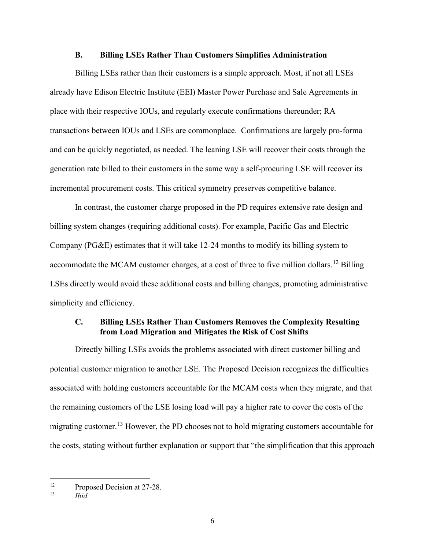#### **B. Billing LSEs Rather Than Customers Simplifies Administration**

<span id="page-9-0"></span>Billing LSEs rather than their customers is a simple approach. Most, if not all LSEs already have Edison Electric Institute (EEI) Master Power Purchase and Sale Agreements in place with their respective IOUs, and regularly execute confirmations thereunder; RA transactions between IOUs and LSEs are commonplace. Confirmations are largely pro-forma and can be quickly negotiated, as needed. The leaning LSE will recover their costs through the generation rate billed to their customers in the same way a self-procuring LSE will recover its incremental procurement costs. This critical symmetry preserves competitive balance.

In contrast, the customer charge proposed in the PD requires extensive rate design and billing system changes (requiring additional costs). For example, Pacific Gas and Electric Company (PG&E) estimates that it will take 12-24 months to modify its billing system to accommodate the MCAM customer charges, at a cost of three to five million dollars.<sup>[12](#page-9-2)</sup> Billing LSEs directly would avoid these additional costs and billing changes, promoting administrative simplicity and efficiency.

### <span id="page-9-1"></span>**C. Billing LSEs Rather Than Customers Removes the Complexity Resulting from Load Migration and Mitigates the Risk of Cost Shifts**

Directly billing LSEs avoids the problems associated with direct customer billing and potential customer migration to another LSE. The Proposed Decision recognizes the difficulties associated with holding customers accountable for the MCAM costs when they migrate, and that the remaining customers of the LSE losing load will pay a higher rate to cover the costs of the migrating customer.<sup>[13](#page-9-3)</sup> However, the PD chooses not to hold migrating customers accountable for the costs, stating without further explanation or support that "the simplification that this approach

<span id="page-9-3"></span><span id="page-9-2"></span><sup>&</sup>lt;sup>12</sup> Proposed Decision at 27-28.<br> $\frac{13}{12}$  Proposed Decision at 27-28.

*Ibid.*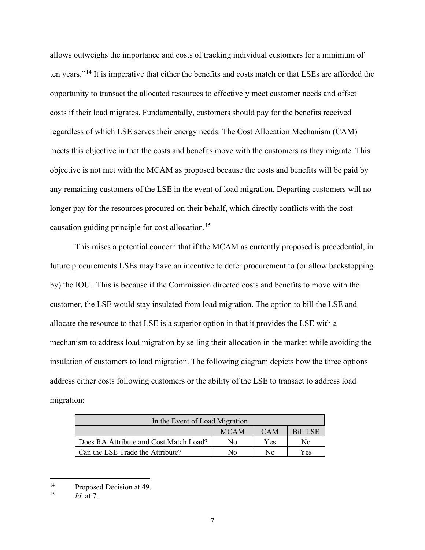allows outweighs the importance and costs of tracking individual customers for a minimum of ten years."[14](#page-10-0) It is imperative that either the benefits and costs match or that LSEs are afforded the opportunity to transact the allocated resources to effectively meet customer needs and offset costs if their load migrates. Fundamentally, customers should pay for the benefits received regardless of which LSE serves their energy needs. The Cost Allocation Mechanism (CAM) meets this objective in that the costs and benefits move with the customers as they migrate. This objective is not met with the MCAM as proposed because the costs and benefits will be paid by any remaining customers of the LSE in the event of load migration. Departing customers will no longer pay for the resources procured on their behalf, which directly conflicts with the cost causation guiding principle for cost allocation.[15](#page-10-1) 

This raises a potential concern that if the MCAM as currently proposed is precedential, in future procurements LSEs may have an incentive to defer procurement to (or allow backstopping by) the IOU. This is because if the Commission directed costs and benefits to move with the customer, the LSE would stay insulated from load migration. The option to bill the LSE and allocate the resource to that LSE is a superior option in that it provides the LSE with a mechanism to address load migration by selling their allocation in the market while avoiding the insulation of customers to load migration. The following diagram depicts how the three options address either costs following customers or the ability of the LSE to transact to address load migration:

| In the Event of Load Migration         |             |            |                 |  |
|----------------------------------------|-------------|------------|-----------------|--|
|                                        | <b>MCAM</b> | <b>CAM</b> | <b>Bill LSE</b> |  |
| Does RA Attribute and Cost Match Load? | N٥          | Yes        | Nο              |  |
| Can the LSE Trade the Attribute?       | N٥          | No         | Yes             |  |

<span id="page-10-1"></span><span id="page-10-0"></span><sup>&</sup>lt;sup>14</sup> Proposed Decision at 49.

*Id.* at 7.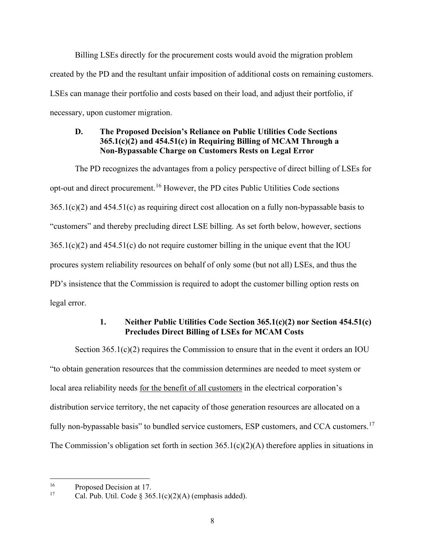Billing LSEs directly for the procurement costs would avoid the migration problem created by the PD and the resultant unfair imposition of additional costs on remaining customers. LSEs can manage their portfolio and costs based on their load, and adjust their portfolio, if necessary, upon customer migration.

### <span id="page-11-0"></span>**D. The Proposed Decision's Reliance on Public Utilities Code Sections 365.1(c)(2) and 454.51(c) in Requiring Billing of MCAM Through a Non-Bypassable Charge on Customers Rests on Legal Error**

The PD recognizes the advantages from a policy perspective of direct billing of LSEs for opt-out and direct procurement.[16](#page-11-2) However, the PD cites Public Utilities Code sections  $365.1(c)(2)$  and  $454.51(c)$  as requiring direct cost allocation on a fully non-bypassable basis to "customers" and thereby precluding direct LSE billing. As set forth below, however, sections  $365.1(c)(2)$  and  $454.51(c)$  do not require customer billing in the unique event that the IOU procures system reliability resources on behalf of only some (but not all) LSEs, and thus the PD's insistence that the Commission is required to adopt the customer billing option rests on legal error.

# **1. Neither Public Utilities Code Section 365.1(c)(2) nor Section 454.51(c) Precludes Direct Billing of LSEs for MCAM Costs**

<span id="page-11-1"></span>Section  $365.1(c)(2)$  requires the Commission to ensure that in the event it orders an IOU "to obtain generation resources that the commission determines are needed to meet system or local area reliability needs <u>for the benefit of all customers</u> in the electrical corporation's distribution service territory, the net capacity of those generation resources are allocated on a fully non-bypassable basis" to bundled service customers, ESP customers, and CCA customers.<sup>[17](#page-11-3)</sup> The Commission's obligation set forth in section  $365.1(c)(2)(A)$  therefore applies in situations in

<span id="page-11-2"></span><sup>&</sup>lt;sup>16</sup> Proposed Decision at 17.<br> $\frac{17}{2}$  Cal Pub Util Code 8.36

<span id="page-11-3"></span>Cal. Pub. Util. Code § 365.1(c)(2)(A) (emphasis added).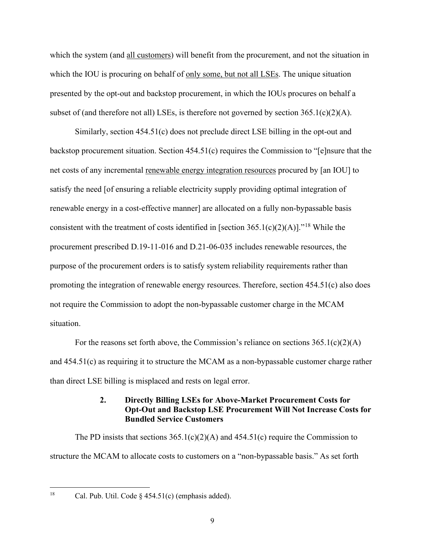which the system (and all customers) will benefit from the procurement, and not the situation in which the IOU is procuring on behalf of only some, but not all LSEs. The unique situation presented by the opt-out and backstop procurement, in which the IOUs procures on behalf a subset of (and therefore not all) LSEs, is therefore not governed by section  $365.1(c)(2)(A)$ .

Similarly, section 454.51(c) does not preclude direct LSE billing in the opt-out and backstop procurement situation. Section 454.51(c) requires the Commission to "[e]nsure that the net costs of any incremental renewable energy integration resources procured by [an IOU] to satisfy the need [of ensuring a reliable electricity supply providing optimal integration of renewable energy in a cost-effective manner] are allocated on a fully non-bypassable basis consistent with the treatment of costs identified in [section  $365.1(c)(2)(A)$ ]."<sup>18</sup> While the procurement prescribed D.19-11-016 and D.21-06-035 includes renewable resources, the purpose of the procurement orders is to satisfy system reliability requirements rather than promoting the integration of renewable energy resources. Therefore, section 454.51(c) also does not require the Commission to adopt the non-bypassable customer charge in the MCAM situation.

For the reasons set forth above, the Commission's reliance on sections  $365.1(c)(2)(A)$ and 454.51(c) as requiring it to structure the MCAM as a non-bypassable customer charge rather than direct LSE billing is misplaced and rests on legal error.

### **2. Directly Billing LSEs for Above-Market Procurement Costs for Opt-Out and Backstop LSE Procurement Will Not Increase Costs for Bundled Service Customers**

<span id="page-12-0"></span>The PD insists that sections  $365.1(c)(2)(A)$  and  $454.51(c)$  require the Commission to structure the MCAM to allocate costs to customers on a "non-bypassable basis." As set forth

<span id="page-12-1"></span><sup>&</sup>lt;sup>18</sup> Cal. Pub. Util. Code  $\S$  454.51(c) (emphasis added).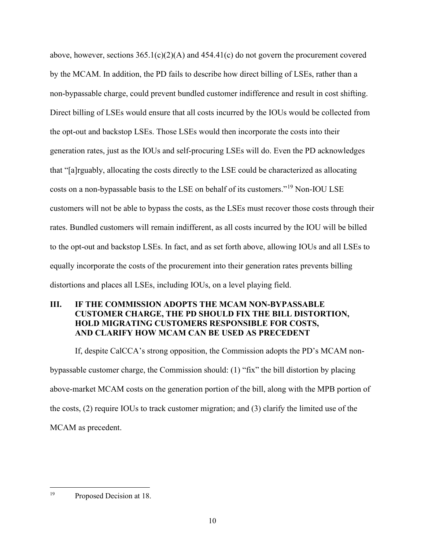above, however, sections  $365.1(c)(2)(A)$  and  $454.41(c)$  do not govern the procurement covered by the MCAM. In addition, the PD fails to describe how direct billing of LSEs, rather than a non-bypassable charge, could prevent bundled customer indifference and result in cost shifting. Direct billing of LSEs would ensure that all costs incurred by the IOUs would be collected from the opt-out and backstop LSEs. Those LSEs would then incorporate the costs into their generation rates, just as the IOUs and self-procuring LSEs will do. Even the PD acknowledges that "[a]rguably, allocating the costs directly to the LSE could be characterized as allocating costs on a non-bypassable basis to the LSE on behalf of its customers."[19](#page-13-1) Non-IOU LSE customers will not be able to bypass the costs, as the LSEs must recover those costs through their rates. Bundled customers will remain indifferent, as all costs incurred by the IOU will be billed to the opt-out and backstop LSEs. In fact, and as set forth above, allowing IOUs and all LSEs to equally incorporate the costs of the procurement into their generation rates prevents billing distortions and places all LSEs, including IOUs, on a level playing field.

### <span id="page-13-0"></span>**III. IF THE COMMISSION ADOPTS THE MCAM NON-BYPASSABLE CUSTOMER CHARGE, THE PD SHOULD FIX THE BILL DISTORTION, HOLD MIGRATING CUSTOMERS RESPONSIBLE FOR COSTS, AND CLARIFY HOW MCAM CAN BE USED AS PRECEDENT**

If, despite CalCCA's strong opposition, the Commission adopts the PD's MCAM nonbypassable customer charge, the Commission should: (1) "fix" the bill distortion by placing above-market MCAM costs on the generation portion of the bill, along with the MPB portion of the costs, (2) require IOUs to track customer migration; and (3) clarify the limited use of the MCAM as precedent.

<span id="page-13-1"></span><sup>19</sup> Proposed Decision at 18.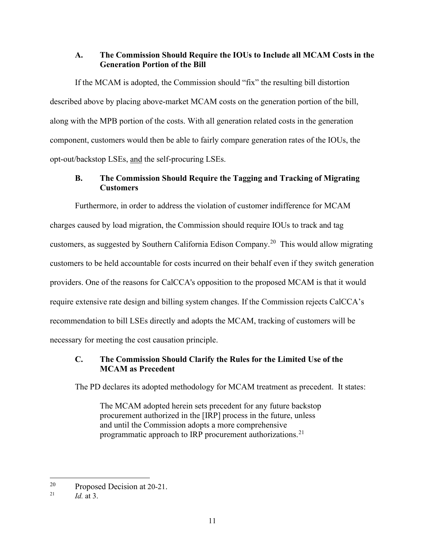### <span id="page-14-0"></span>**A. The Commission Should Require the IOUs to Include all MCAM Costs in the Generation Portion of the Bill**

If the MCAM is adopted, the Commission should "fix" the resulting bill distortion described above by placing above-market MCAM costs on the generation portion of the bill, along with the MPB portion of the costs. With all generation related costs in the generation component, customers would then be able to fairly compare generation rates of the IOUs, the opt-out/backstop LSEs, and the self-procuring LSEs.

# <span id="page-14-1"></span>**B. The Commission Should Require the Tagging and Tracking of Migrating Customers**

Furthermore, in order to address the violation of customer indifference for MCAM charges caused by load migration, the Commission should require IOUs to track and tag customers, as suggested by Southern California Edison Company.[20](#page-14-3) This would allow migrating customers to be held accountable for costs incurred on their behalf even if they switch generation providers. One of the reasons for CalCCA's opposition to the proposed MCAM is that it would require extensive rate design and billing system changes. If the Commission rejects CalCCA's recommendation to bill LSEs directly and adopts the MCAM, tracking of customers will be necessary for meeting the cost causation principle.

# <span id="page-14-2"></span>**C. The Commission Should Clarify the Rules for the Limited Use of the MCAM as Precedent**

The PD declares its adopted methodology for MCAM treatment as precedent. It states:

The MCAM adopted herein sets precedent for any future backstop procurement authorized in the [IRP] process in the future, unless and until the Commission adopts a more comprehensive programmatic approach to IRP procurement authorizations.<sup>[21](#page-14-4)</sup>

<span id="page-14-3"></span><sup>20</sup> Proposed Decision at 20-21. 21 *Id.* at 3.

<span id="page-14-4"></span>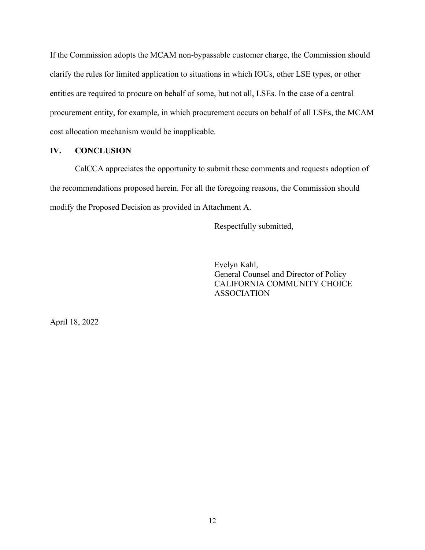If the Commission adopts the MCAM non-bypassable customer charge, the Commission should clarify the rules for limited application to situations in which IOUs, other LSE types, or other entities are required to procure on behalf of some, but not all, LSEs. In the case of a central procurement entity, for example, in which procurement occurs on behalf of all LSEs, the MCAM cost allocation mechanism would be inapplicable.

### <span id="page-15-0"></span>**IV. CONCLUSION**

CalCCA appreciates the opportunity to submit these comments and requests adoption of the recommendations proposed herein. For all the foregoing reasons, the Commission should modify the Proposed Decision as provided in Attachment A.

Respectfully submitted,

Evelyn Kahl, General Counsel and Director of Policy CALIFORNIA COMMUNITY CHOICE ASSOCIATION

April 18, 2022